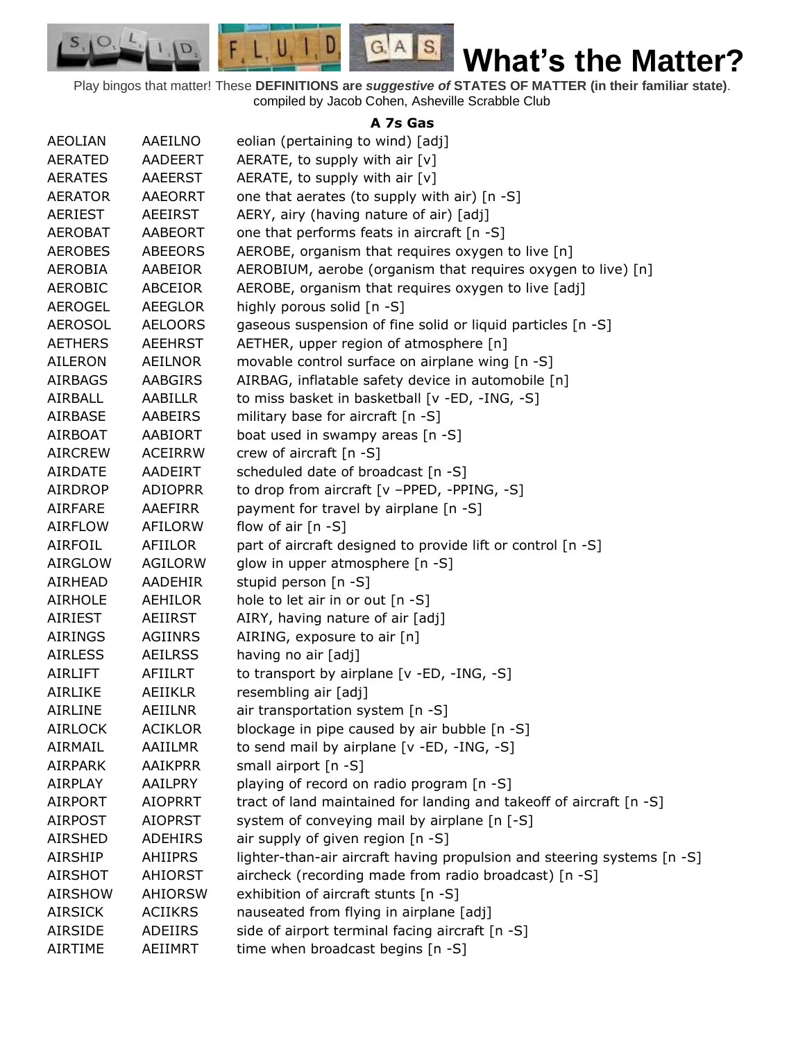Play bingos that matter! These **DEFINITIONS are** *suggestive of* **STATES OF MATTER (in their familiar state)**. compiled by Jacob Cohen, Asheville Scrabble Club

 $G.A.S.$ 

 $F, L, U, I, D$ 

D.

 $S_{1}$  $\circ$ 

## **A 7s Gas**

| <b>AEOLIAN</b> | AAEILNO        | eolian (pertaining to wind) [adj]                                       |
|----------------|----------------|-------------------------------------------------------------------------|
| <b>AERATED</b> | AADEERT        | AERATE, to supply with air [v]                                          |
| <b>AERATES</b> | <b>AAEERST</b> | AERATE, to supply with air [v]                                          |
| <b>AERATOR</b> | <b>AAEORRT</b> | one that aerates (to supply with air) [n -S]                            |
| <b>AERIEST</b> | AEEIRST        | AERY, airy (having nature of air) [adj]                                 |
| <b>AEROBAT</b> | AABEORT        | one that performs feats in aircraft [n -S]                              |
| <b>AEROBES</b> | <b>ABEEORS</b> | AEROBE, organism that requires oxygen to live [n]                       |
| <b>AEROBIA</b> | AABEIOR        | AEROBIUM, aerobe (organism that requires oxygen to live) [n]            |
| <b>AEROBIC</b> | ABCEIOR        | AEROBE, organism that requires oxygen to live [adj]                     |
| <b>AEROGEL</b> | <b>AEEGLOR</b> | highly porous solid [n -S]                                              |
| <b>AEROSOL</b> | <b>AELOORS</b> | gaseous suspension of fine solid or liquid particles [n -S]             |
| <b>AETHERS</b> | <b>AEEHRST</b> | AETHER, upper region of atmosphere [n]                                  |
| <b>AILERON</b> | AEILNOR        | movable control surface on airplane wing [n -S]                         |
| <b>AIRBAGS</b> | <b>AABGIRS</b> | AIRBAG, inflatable safety device in automobile [n]                      |
| AIRBALL        | AABILLR        | to miss basket in basketball [v -ED, -ING, -S]                          |
| <b>AIRBASE</b> | <b>AABEIRS</b> | military base for aircraft [n -S]                                       |
| AIRBOAT        | <b>AABIORT</b> | boat used in swampy areas [n -S]                                        |
| <b>AIRCREW</b> | <b>ACEIRRW</b> | crew of aircraft [n -S]                                                 |
| <b>AIRDATE</b> | <b>AADEIRT</b> | scheduled date of broadcast [n -S]                                      |
| AIRDROP        | <b>ADIOPRR</b> | to drop from aircraft [v -PPED, -PPING, -S]                             |
| <b>AIRFARE</b> | AAEFIRR        | payment for travel by airplane [n -S]                                   |
| <b>AIRFLOW</b> | <b>AFILORW</b> | flow of air $[n - S]$                                                   |
| <b>AIRFOIL</b> | AFIILOR        | part of aircraft designed to provide lift or control [n -S]             |
| <b>AIRGLOW</b> | AGILORW        | glow in upper atmosphere [n -S]                                         |
| AIRHEAD        | <b>AADEHIR</b> | stupid person [n -S]                                                    |
| <b>AIRHOLE</b> | AEHILOR        | hole to let air in or out [n -S]                                        |
| AIRIEST        | <b>AEIIRST</b> | AIRY, having nature of air [adj]                                        |
| <b>AIRINGS</b> | <b>AGIINRS</b> | AIRING, exposure to air [n]                                             |
| <b>AIRLESS</b> | <b>AEILRSS</b> | having no air [adj]                                                     |
| <b>AIRLIFT</b> | AFIILRT        | to transport by airplane [v -ED, -ING, -S]                              |
| AIRLIKE        | <b>AEIIKLR</b> | resembling air [adj]                                                    |
| <b>AIRLINE</b> | AEIILNR        | air transportation system [n -S]                                        |
| <b>AIRLOCK</b> | <b>ACIKLOR</b> | blockage in pipe caused by air bubble [n -S]                            |
| <b>AIRMAIL</b> | AAIILMR        | to send mail by airplane [v -ED, -ING, -S]                              |
| <b>AIRPARK</b> | <b>AAIKPRR</b> | small airport [n -S]                                                    |
| <b>AIRPLAY</b> | <b>AAILPRY</b> | playing of record on radio program [n -S]                               |
| <b>AIRPORT</b> | <b>AIOPRRT</b> | tract of land maintained for landing and takeoff of aircraft [n -S]     |
| <b>AIRPOST</b> | <b>AIOPRST</b> | system of conveying mail by airplane [n [-S]                            |
| <b>AIRSHED</b> | <b>ADEHIRS</b> | air supply of given region [n -S]                                       |
| <b>AIRSHIP</b> | <b>AHIIPRS</b> | lighter-than-air aircraft having propulsion and steering systems [n -S] |
| AIRSHOT        | AHIORST        | aircheck (recording made from radio broadcast) [n -S]                   |
| <b>AIRSHOW</b> | AHIORSW        | exhibition of aircraft stunts [n -S]                                    |
| <b>AIRSICK</b> | <b>ACIIKRS</b> | nauseated from flying in airplane [adj]                                 |
| AIRSIDE        | ADEIIRS        | side of airport terminal facing aircraft [n -S]                         |
| AIRTIME        | AEIIMRT        | time when broadcast begins [n -S]                                       |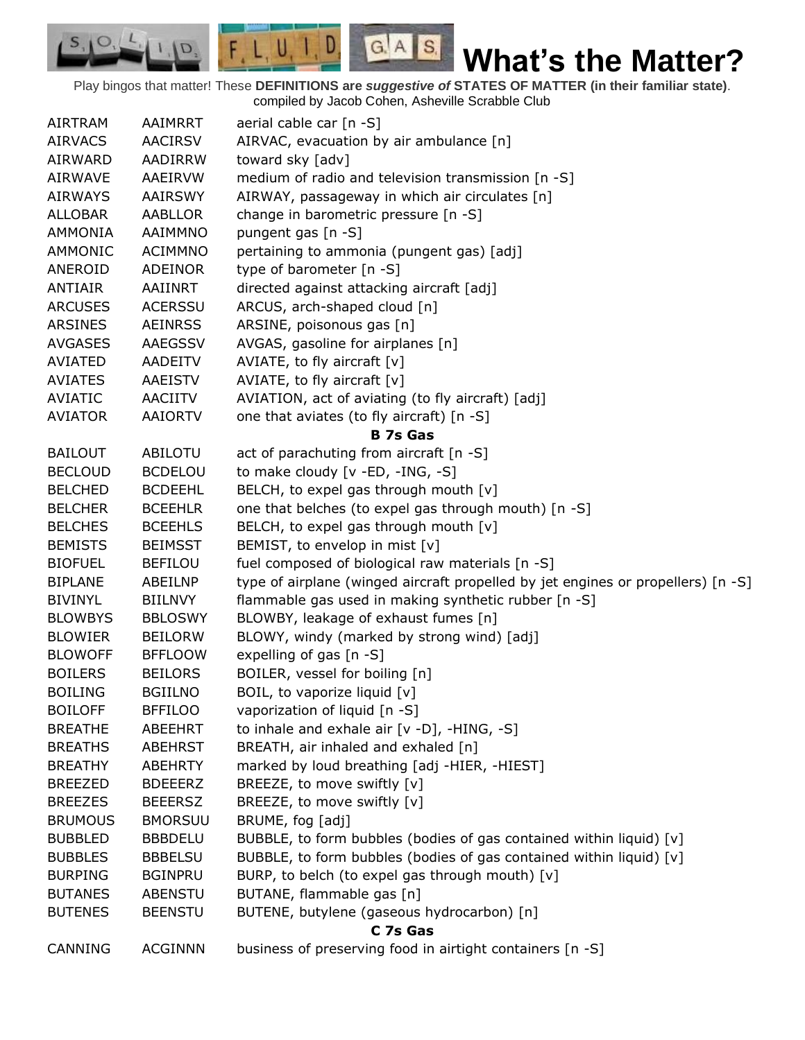Play bingos that matter! These **DEFINITIONS are** *suggestive of* **STATES OF MATTER (in their familiar state)**. compiled by Jacob Cohen, Asheville Scrabble Club

 $G.A.S.$ 

 $F, L, U, I, D$ 

D.

 $S_{1}$  $\circ$ 

| AIRTRAM        | AAIMRRT        | aerial cable car $[n - S]$                                                       |
|----------------|----------------|----------------------------------------------------------------------------------|
| <b>AIRVACS</b> | <b>AACIRSV</b> | AIRVAC, evacuation by air ambulance [n]                                          |
| AIRWARD        | AADIRRW        | toward sky [adv]                                                                 |
| AIRWAVE        | AAEIRVW        | medium of radio and television transmission [n -S]                               |
| <b>AIRWAYS</b> | <b>AAIRSWY</b> | AIRWAY, passageway in which air circulates [n]                                   |
| <b>ALLOBAR</b> | <b>AABLLOR</b> | change in barometric pressure [n -S]                                             |
| <b>AMMONIA</b> | AAIMMNO        | pungent gas [n -S]                                                               |
| AMMONIC        | <b>ACIMMNO</b> | pertaining to ammonia (pungent gas) [adj]                                        |
| ANEROID        | <b>ADEINOR</b> | type of barometer [n -S]                                                         |
| ANTIAIR        | AAIINRT        | directed against attacking aircraft [adj]                                        |
| <b>ARCUSES</b> | <b>ACERSSU</b> | ARCUS, arch-shaped cloud [n]                                                     |
| <b>ARSINES</b> | <b>AEINRSS</b> | ARSINE, poisonous gas [n]                                                        |
| <b>AVGASES</b> | AAEGSSV        | AVGAS, gasoline for airplanes [n]                                                |
| AVIATED        | AADEITV        | AVIATE, to fly aircraft $[v]$                                                    |
| <b>AVIATES</b> | AAEISTV        | AVIATE, to fly aircraft $[v]$                                                    |
| AVIATIC        | AACIITV        | AVIATION, act of aviating (to fly aircraft) [adj]                                |
| <b>AVIATOR</b> | AAIORTV        | one that aviates (to fly aircraft) [n -S]                                        |
|                |                | <b>B</b> 7s Gas                                                                  |
| <b>BAILOUT</b> | ABILOTU        | act of parachuting from aircraft [n -S]                                          |
| <b>BECLOUD</b> | <b>BCDELOU</b> | to make cloudy [v -ED, -ING, -S]                                                 |
| <b>BELCHED</b> | <b>BCDEEHL</b> | BELCH, to expel gas through mouth [v]                                            |
| <b>BELCHER</b> | <b>BCEEHLR</b> | one that belches (to expel gas through mouth) [n -S]                             |
| <b>BELCHES</b> | <b>BCEEHLS</b> | BELCH, to expel gas through mouth [v]                                            |
| <b>BEMISTS</b> | <b>BEIMSST</b> | BEMIST, to envelop in mist [v]                                                   |
| <b>BIOFUEL</b> | <b>BEFILOU</b> | fuel composed of biological raw materials [n -S]                                 |
| <b>BIPLANE</b> | ABEILNP        | type of airplane (winged aircraft propelled by jet engines or propellers) [n -S] |
| <b>BIVINYL</b> | <b>BIILNVY</b> | flammable gas used in making synthetic rubber [n -S]                             |
| <b>BLOWBYS</b> | <b>BBLOSWY</b> | BLOWBY, leakage of exhaust fumes [n]                                             |
| <b>BLOWIER</b> | <b>BEILORW</b> | BLOWY, windy (marked by strong wind) [adj]                                       |
| <b>BLOWOFF</b> | <b>BFFLOOW</b> | expelling of gas [n -S]                                                          |
| <b>BOILERS</b> | <b>BEILORS</b> | BOILER, vessel for boiling [n]                                                   |
| <b>BOILING</b> | <b>BGIILNO</b> | BOIL, to vaporize liquid [v]                                                     |
| <b>BOILOFF</b> | <b>BFFILOO</b> | vaporization of liquid [n -S]                                                    |
| <b>BREATHE</b> | ABEEHRT        | to inhale and exhale air [v -D], -HING, -S]                                      |
| <b>BREATHS</b> | <b>ABEHRST</b> | BREATH, air inhaled and exhaled [n]                                              |
| <b>BREATHY</b> | <b>ABEHRTY</b> | marked by loud breathing [adj -HIER, -HIEST]                                     |
| <b>BREEZED</b> | <b>BDEEERZ</b> | BREEZE, to move swiftly [v]                                                      |
| <b>BREEZES</b> | <b>BEEERSZ</b> | BREEZE, to move swiftly [v]                                                      |
| <b>BRUMOUS</b> | <b>BMORSUU</b> | BRUME, fog [adj]                                                                 |
| <b>BUBBLED</b> | <b>BBBDELU</b> | BUBBLE, to form bubbles (bodies of gas contained within liquid) [v]              |
| <b>BUBBLES</b> | <b>BBBELSU</b> | BUBBLE, to form bubbles (bodies of gas contained within liquid) [v]              |
| <b>BURPING</b> | <b>BGINPRU</b> | BURP, to belch (to expel gas through mouth) [v]                                  |
| <b>BUTANES</b> | <b>ABENSTU</b> | BUTANE, flammable gas [n]                                                        |
| <b>BUTENES</b> | <b>BEENSTU</b> | BUTENE, butylene (gaseous hydrocarbon) [n]                                       |
|                |                | C 7s Gas                                                                         |
| CANNING        | <b>ACGINNN</b> | business of preserving food in airtight containers [n -S]                        |
|                |                |                                                                                  |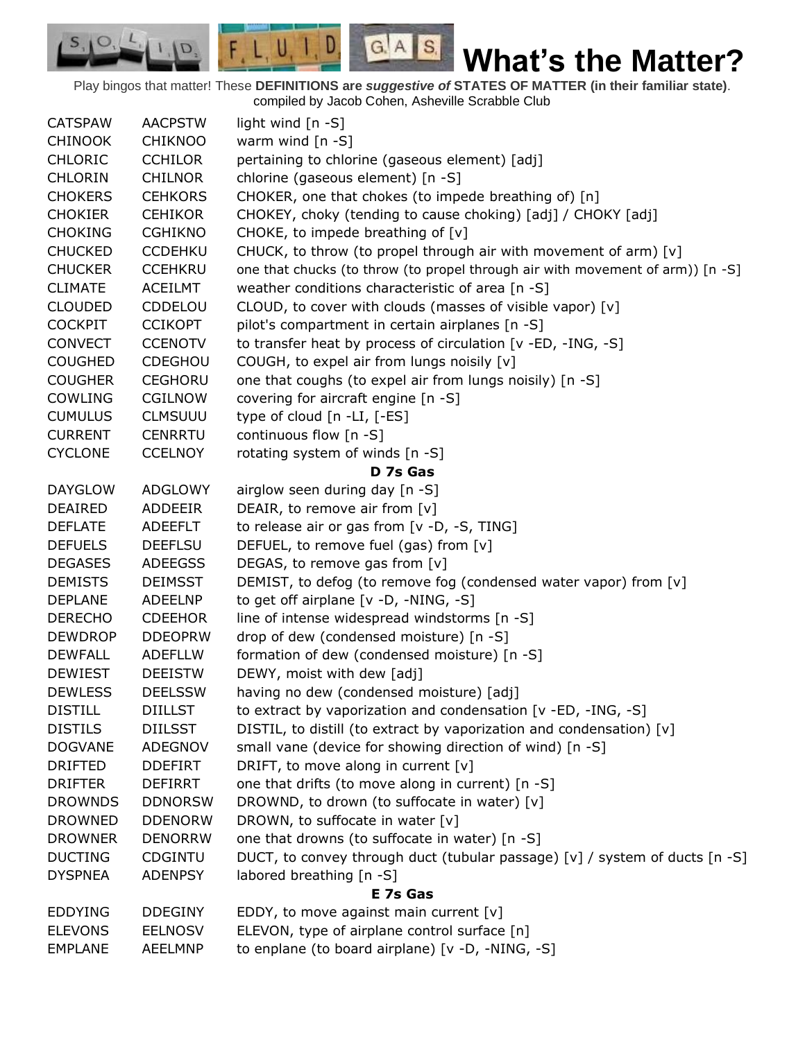$F, L, U, I, D$  $G.A.S.$  $S_{1}$  $\mathcal{O},$ **What's the Matter?** D. Play bingos that matter! These **DEFINITIONS are** *suggestive of* **STATES OF MATTER (in their familiar state)**.

compiled by Jacob Cohen, Asheville Scrabble Club

| <b>CATSPAW</b> | <b>AACPSTW</b> | light wind $[n -S]$                                                            |
|----------------|----------------|--------------------------------------------------------------------------------|
| <b>CHINOOK</b> | <b>CHIKNOO</b> | warm wind $[n -S]$                                                             |
| <b>CHLORIC</b> | <b>CCHILOR</b> | pertaining to chlorine (gaseous element) [adj]                                 |
| <b>CHLORIN</b> | <b>CHILNOR</b> | chlorine (gaseous element) [n -S]                                              |
| <b>CHOKERS</b> | <b>CEHKORS</b> | CHOKER, one that chokes (to impede breathing of) [n]                           |
| <b>CHOKIER</b> | <b>CEHIKOR</b> | CHOKEY, choky (tending to cause choking) [adj] / CHOKY [adj]                   |
| <b>CHOKING</b> | <b>CGHIKNO</b> | CHOKE, to impede breathing of [v]                                              |
| <b>CHUCKED</b> | <b>CCDEHKU</b> | CHUCK, to throw (to propel through air with movement of arm) [v]               |
| <b>CHUCKER</b> | <b>CCEHKRU</b> | one that chucks (to throw (to propel through air with movement of arm)) [n -S] |
| <b>CLIMATE</b> | <b>ACEILMT</b> | weather conditions characteristic of area [n -S]                               |
| <b>CLOUDED</b> | CDDELOU        | CLOUD, to cover with clouds (masses of visible vapor) [v]                      |
| <b>COCKPIT</b> | <b>CCIKOPT</b> | pilot's compartment in certain airplanes [n -S]                                |
| <b>CONVECT</b> | <b>CCENOTV</b> | to transfer heat by process of circulation [v -ED, -ING, -S]                   |
| <b>COUGHED</b> | CDEGHOU        | COUGH, to expel air from lungs noisily [v]                                     |
| <b>COUGHER</b> | <b>CEGHORU</b> | one that coughs (to expel air from lungs noisily) [n -S]                       |
| COWLING        | <b>CGILNOW</b> | covering for aircraft engine [n -S]                                            |
| <b>CUMULUS</b> | <b>CLMSUUU</b> | type of cloud $[n - LI, [-ES]$                                                 |
| <b>CURRENT</b> | <b>CENRRTU</b> | continuous flow [n -S]                                                         |
| <b>CYCLONE</b> | <b>CCELNOY</b> | rotating system of winds [n -S]                                                |
|                |                | D 7s Gas                                                                       |
| <b>DAYGLOW</b> | <b>ADGLOWY</b> | airglow seen during day [n -S]                                                 |
| <b>DEAIRED</b> | ADDEEIR        | DEAIR, to remove air from [v]                                                  |
| <b>DEFLATE</b> | ADEEFLT        | to release air or gas from [v -D, -S, TING]                                    |
| <b>DEFUELS</b> | <b>DEEFLSU</b> | DEFUEL, to remove fuel (gas) from [v]                                          |
| <b>DEGASES</b> | <b>ADEEGSS</b> | DEGAS, to remove gas from [v]                                                  |
| <b>DEMISTS</b> | <b>DEIMSST</b> | DEMIST, to defog (to remove fog (condensed water vapor) from [v]               |
| <b>DEPLANE</b> | <b>ADEELNP</b> | to get off airplane [v -D, -NING, -S]                                          |
| <b>DERECHO</b> | <b>CDEEHOR</b> | line of intense widespread windstorms [n -S]                                   |
| <b>DEWDROP</b> | <b>DDEOPRW</b> | drop of dew (condensed moisture) [n -S]                                        |
| <b>DEWFALL</b> | <b>ADEFLLW</b> | formation of dew (condensed moisture) [n -S]                                   |
| <b>DEWIEST</b> | <b>DEEISTW</b> | DEWY, moist with dew [adj]                                                     |
| <b>DEWLESS</b> | <b>DEELSSW</b> | having no dew (condensed moisture) [adj]                                       |
| <b>DISTILL</b> | <b>DIILLST</b> | to extract by vaporization and condensation [v -ED, -ING, -S]                  |
| <b>DISTILS</b> | <b>DIILSST</b> | DISTIL, to distill (to extract by vaporization and condensation) [v]           |
| <b>DOGVANE</b> | ADEGNOV        | small vane (device for showing direction of wind) [n -S]                       |
| <b>DRIFTED</b> | <b>DDEFIRT</b> | DRIFT, to move along in current $[v]$                                          |
| <b>DRIFTER</b> | <b>DEFIRRT</b> | one that drifts (to move along in current) [n -S]                              |
| <b>DROWNDS</b> | <b>DDNORSW</b> | DROWND, to drown (to suffocate in water) [v]                                   |
| <b>DROWNED</b> | <b>DDENORW</b> | DROWN, to suffocate in water [v]                                               |
| <b>DROWNER</b> | <b>DENORRW</b> | one that drowns (to suffocate in water) [n -S]                                 |
| <b>DUCTING</b> | <b>CDGINTU</b> | DUCT, to convey through duct (tubular passage) [v] / system of ducts [n -S]    |
| <b>DYSPNEA</b> | <b>ADENPSY</b> | labored breathing [n -S]                                                       |
|                |                | E 7s Gas                                                                       |
| <b>EDDYING</b> | <b>DDEGINY</b> | EDDY, to move against main current $[v]$                                       |
| <b>ELEVONS</b> | <b>EELNOSV</b> | ELEVON, type of airplane control surface [n]                                   |
| <b>EMPLANE</b> | <b>AEELMNP</b> | to enplane (to board airplane) [v -D, -NING, -S]                               |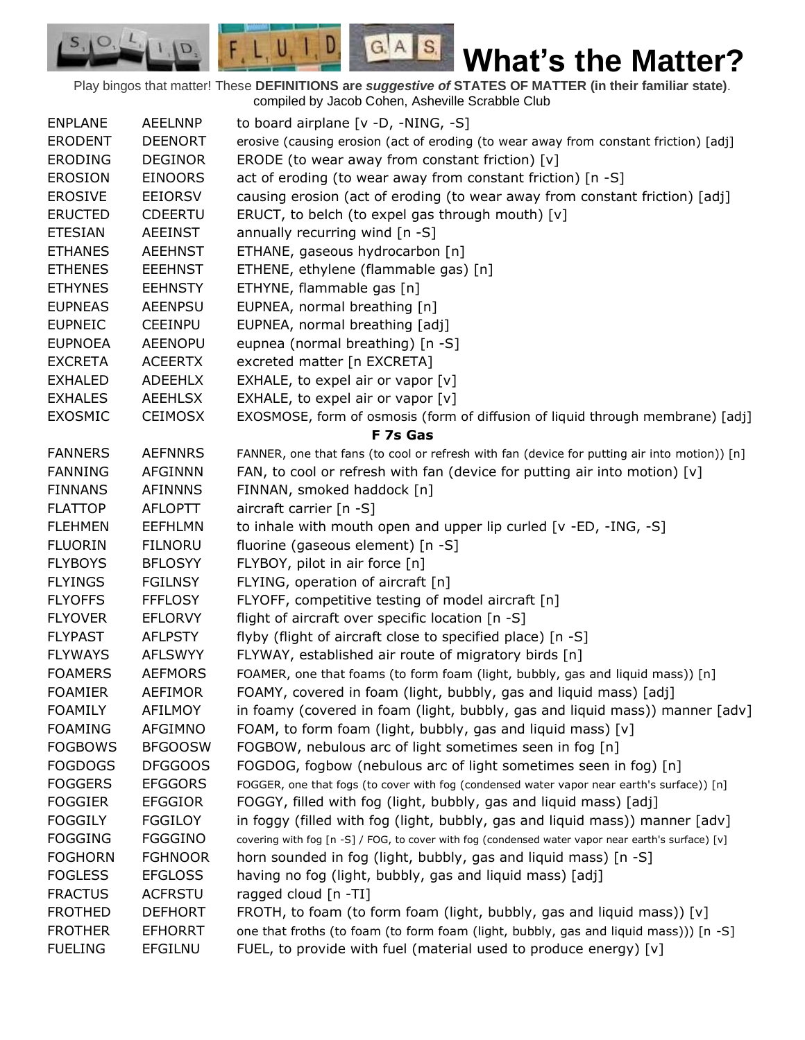Play bingos that matter! These **DEFINITIONS are** *suggestive of* **STATES OF MATTER (in their familiar state)**. compiled by Jacob Cohen, Asheville Scrabble Club

 $G.A.S.$ 

 $F, L, U, I, D$ 

D.

| <b>ENPLANE</b> | <b>AEELNNP</b> |                                                                                                    |
|----------------|----------------|----------------------------------------------------------------------------------------------------|
|                |                | to board airplane $[v -D, -NING, -S]$                                                              |
| <b>ERODENT</b> | <b>DEENORT</b> | erosive (causing erosion (act of eroding (to wear away from constant friction) [adj]               |
| <b>ERODING</b> | <b>DEGINOR</b> | ERODE (to wear away from constant friction) [v]                                                    |
| <b>EROSION</b> | <b>EINOORS</b> | act of eroding (to wear away from constant friction) [n -S]                                        |
| <b>EROSIVE</b> | <b>EEIORSV</b> | causing erosion (act of eroding (to wear away from constant friction) [adj]                        |
| <b>ERUCTED</b> | CDEERTU        | ERUCT, to belch (to expel gas through mouth) [v]                                                   |
| <b>ETESIAN</b> | <b>AEEINST</b> | annually recurring wind [n -S]                                                                     |
| <b>ETHANES</b> | <b>AEEHNST</b> | ETHANE, gaseous hydrocarbon [n]                                                                    |
| <b>ETHENES</b> | <b>EEEHNST</b> | ETHENE, ethylene (flammable gas) [n]                                                               |
| <b>ETHYNES</b> | <b>EEHNSTY</b> | ETHYNE, flammable gas [n]                                                                          |
| <b>EUPNEAS</b> | <b>AEENPSU</b> | EUPNEA, normal breathing [n]                                                                       |
| <b>EUPNEIC</b> | <b>CEEINPU</b> | EUPNEA, normal breathing [adj]                                                                     |
| <b>EUPNOEA</b> | <b>AEENOPU</b> | eupnea (normal breathing) [n -S]                                                                   |
| <b>EXCRETA</b> | <b>ACEERTX</b> | excreted matter [n EXCRETA]                                                                        |
| <b>EXHALED</b> | <b>ADEEHLX</b> | EXHALE, to expel air or vapor $[v]$                                                                |
| <b>EXHALES</b> | <b>AEEHLSX</b> | EXHALE, to expel air or vapor [v]                                                                  |
| <b>EXOSMIC</b> | <b>CEIMOSX</b> | EXOSMOSE, form of osmosis (form of diffusion of liquid through membrane) [adj]                     |
|                |                | F 7s Gas                                                                                           |
| <b>FANNERS</b> | <b>AEFNNRS</b> | FANNER, one that fans (to cool or refresh with fan (device for putting air into motion)) [n]       |
| <b>FANNING</b> | <b>AFGINNN</b> | FAN, to cool or refresh with fan (device for putting air into motion) [v]                          |
| <b>FINNANS</b> | <b>AFINNNS</b> | FINNAN, smoked haddock [n]                                                                         |
| <b>FLATTOP</b> | <b>AFLOPTT</b> | aircraft carrier [n -S]                                                                            |
| <b>FLEHMEN</b> | <b>EEFHLMN</b> | to inhale with mouth open and upper lip curled [v -ED, -ING, -S]                                   |
| <b>FLUORIN</b> | <b>FILNORU</b> | fluorine (gaseous element) [n -S]                                                                  |
| <b>FLYBOYS</b> | <b>BFLOSYY</b> | FLYBOY, pilot in air force [n]                                                                     |
| <b>FLYINGS</b> | <b>FGILNSY</b> | FLYING, operation of aircraft [n]                                                                  |
| <b>FLYOFFS</b> | <b>FFFLOSY</b> | FLYOFF, competitive testing of model aircraft [n]                                                  |
| <b>FLYOVER</b> | <b>EFLORVY</b> | flight of aircraft over specific location [n -S]                                                   |
| <b>FLYPAST</b> | <b>AFLPSTY</b> | flyby (flight of aircraft close to specified place) [n -S]                                         |
| <b>FLYWAYS</b> | <b>AFLSWYY</b> | FLYWAY, established air route of migratory birds [n]                                               |
| <b>FOAMERS</b> | <b>AEFMORS</b> | FOAMER, one that foams (to form foam (light, bubbly, gas and liquid mass)) [n]                     |
| <b>FOAMIER</b> | <b>AEFIMOR</b> | FOAMY, covered in foam (light, bubbly, gas and liquid mass) [adj]                                  |
| <b>FOAMILY</b> | <b>AFILMOY</b> |                                                                                                    |
|                |                | in foamy (covered in foam (light, bubbly, gas and liquid mass)) manner [adv]                       |
| <b>FOAMING</b> | <b>AFGIMNO</b> | FOAM, to form foam (light, bubbly, gas and liquid mass) [v]                                        |
| <b>FOGBOWS</b> | <b>BFGOOSW</b> | FOGBOW, nebulous arc of light sometimes seen in fog [n]                                            |
| <b>FOGDOGS</b> | <b>DFGGOOS</b> | FOGDOG, fogbow (nebulous arc of light sometimes seen in fog) [n]                                   |
| <b>FOGGERS</b> | <b>EFGGORS</b> | FOGGER, one that fogs (to cover with fog (condensed water vapor near earth's surface)) [n]         |
| <b>FOGGIER</b> | <b>EFGGIOR</b> | FOGGY, filled with fog (light, bubbly, gas and liquid mass) [adj]                                  |
| <b>FOGGILY</b> | <b>FGGILOY</b> | in foggy (filled with fog (light, bubbly, gas and liquid mass)) manner [adv]                       |
| <b>FOGGING</b> | <b>FGGGINO</b> | covering with fog [n -S] / FOG, to cover with fog (condensed water vapor near earth's surface) [v] |
| <b>FOGHORN</b> | <b>FGHNOOR</b> | horn sounded in fog (light, bubbly, gas and liquid mass) [n -S]                                    |
| <b>FOGLESS</b> | <b>EFGLOSS</b> | having no fog (light, bubbly, gas and liquid mass) [adj]                                           |
| <b>FRACTUS</b> | <b>ACFRSTU</b> | ragged cloud [n -TI]                                                                               |
| <b>FROTHED</b> | <b>DEFHORT</b> | FROTH, to foam (to form foam (light, bubbly, gas and liquid mass)) [v]                             |
| <b>FROTHER</b> | <b>EFHORRT</b> | one that froths (to foam (to form foam (light, bubbly, gas and liquid mass))) [n -S]               |
| <b>FUELING</b> | <b>EFGILNU</b> | FUEL, to provide with fuel (material used to produce energy) [v]                                   |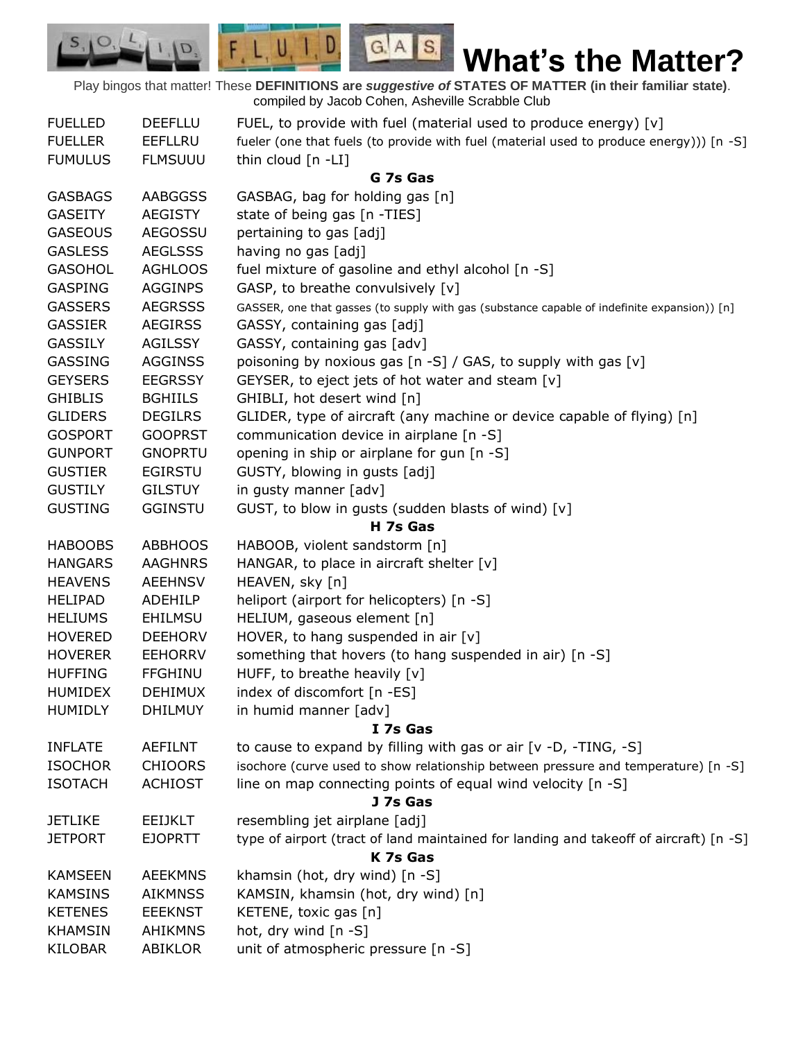Play bingos that matter! These **DEFINITIONS are** *suggestive of* **STATES OF MATTER (in their familiar state)**. compiled by Jacob Cohen, Asheville Scrabble Club

 $G.A.S.$ 

 $F, L, U, I, D$ 

D.

| <b>FUELLED</b> | <b>DEEFLLU</b> | FUEL, to provide with fuel (material used to produce energy) [v]                             |
|----------------|----------------|----------------------------------------------------------------------------------------------|
| <b>FUELLER</b> | <b>EEFLLRU</b> | fueler (one that fuels (to provide with fuel (material used to produce energy))) [n -S]      |
| <b>FUMULUS</b> | <b>FLMSUUU</b> | thin cloud [n -LI]                                                                           |
|                |                | G 7s Gas                                                                                     |
| <b>GASBAGS</b> | <b>AABGGSS</b> | GASBAG, bag for holding gas [n]                                                              |
| <b>GASEITY</b> | <b>AEGISTY</b> | state of being gas [n -TIES]                                                                 |
| <b>GASEOUS</b> | <b>AEGOSSU</b> | pertaining to gas [adj]                                                                      |
| <b>GASLESS</b> | <b>AEGLSSS</b> | having no gas [adj]                                                                          |
| <b>GASOHOL</b> | <b>AGHLOOS</b> | fuel mixture of gasoline and ethyl alcohol [n -S]                                            |
| <b>GASPING</b> | <b>AGGINPS</b> | GASP, to breathe convulsively [v]                                                            |
| <b>GASSERS</b> | <b>AEGRSSS</b> | GASSER, one that gasses (to supply with gas (substance capable of indefinite expansion)) [n] |
| <b>GASSIER</b> | <b>AEGIRSS</b> | GASSY, containing gas [adj]                                                                  |
| <b>GASSILY</b> | <b>AGILSSY</b> | GASSY, containing gas [adv]                                                                  |
| GASSING        | <b>AGGINSS</b> | poisoning by noxious gas [n -S] / GAS, to supply with gas [v]                                |
| <b>GEYSERS</b> | <b>EEGRSSY</b> | GEYSER, to eject jets of hot water and steam [v]                                             |
| <b>GHIBLIS</b> | <b>BGHIILS</b> | GHIBLI, hot desert wind [n]                                                                  |
| <b>GLIDERS</b> | <b>DEGILRS</b> | GLIDER, type of aircraft (any machine or device capable of flying) [n]                       |
| <b>GOSPORT</b> | <b>GOOPRST</b> | communication device in airplane [n -S]                                                      |
| <b>GUNPORT</b> | <b>GNOPRTU</b> | opening in ship or airplane for gun [n -S]                                                   |
| <b>GUSTIER</b> | <b>EGIRSTU</b> | GUSTY, blowing in gusts [adj]                                                                |
| <b>GUSTILY</b> | <b>GILSTUY</b> | in gusty manner [adv]                                                                        |
| <b>GUSTING</b> | <b>GGINSTU</b> | GUST, to blow in gusts (sudden blasts of wind) [v]                                           |
|                |                | H 7s Gas                                                                                     |
| <b>HABOOBS</b> | <b>ABBHOOS</b> | HABOOB, violent sandstorm [n]                                                                |
| <b>HANGARS</b> | <b>AAGHNRS</b> | HANGAR, to place in aircraft shelter [v]                                                     |
| <b>HEAVENS</b> | <b>AEEHNSV</b> | HEAVEN, sky [n]                                                                              |
| <b>HELIPAD</b> | ADEHILP        | heliport (airport for helicopters) [n -S]                                                    |
| <b>HELIUMS</b> | <b>EHILMSU</b> | HELIUM, gaseous element [n]                                                                  |
| <b>HOVERED</b> | <b>DEEHORV</b> | HOVER, to hang suspended in air $[v]$                                                        |
| <b>HOVERER</b> | <b>EEHORRV</b> | something that hovers (to hang suspended in air) [n -S]                                      |
| <b>HUFFING</b> | <b>FFGHINU</b> | HUFF, to breathe heavily [v]                                                                 |
| <b>HUMIDEX</b> | <b>DEHIMUX</b> | index of discomfort [n -ES]                                                                  |
| <b>HUMIDLY</b> | <b>DHILMUY</b> | in humid manner [adv]                                                                        |
|                |                | I 7s Gas                                                                                     |
| <b>INFLATE</b> | <b>AEFILNT</b> | to cause to expand by filling with gas or air [v -D, -TING, -S]                              |
| <b>ISOCHOR</b> | <b>CHIOORS</b> | isochore (curve used to show relationship between pressure and temperature) [n -S]           |
| <b>ISOTACH</b> | <b>ACHIOST</b> | line on map connecting points of equal wind velocity $[n -S]$                                |
|                |                | J 7s Gas                                                                                     |
| <b>JETLIKE</b> | <b>EEIJKLT</b> | resembling jet airplane [adj]                                                                |
| <b>JETPORT</b> | <b>EJOPRTT</b> | type of airport (tract of land maintained for landing and takeoff of aircraft) [n -S]        |
|                |                | K 7s Gas                                                                                     |
| <b>KAMSEEN</b> | <b>AEEKMNS</b> | khamsin (hot, dry wind) [n -S]                                                               |
| <b>KAMSINS</b> | <b>AIKMNSS</b> | KAMSIN, khamsin (hot, dry wind) [n]                                                          |
| <b>KETENES</b> | <b>EEEKNST</b> | KETENE, toxic gas [n]                                                                        |
| <b>KHAMSIN</b> | <b>AHIKMNS</b> | hot, dry wind [n -S]                                                                         |
| <b>KILOBAR</b> | <b>ABIKLOR</b> | unit of atmospheric pressure [n -S]                                                          |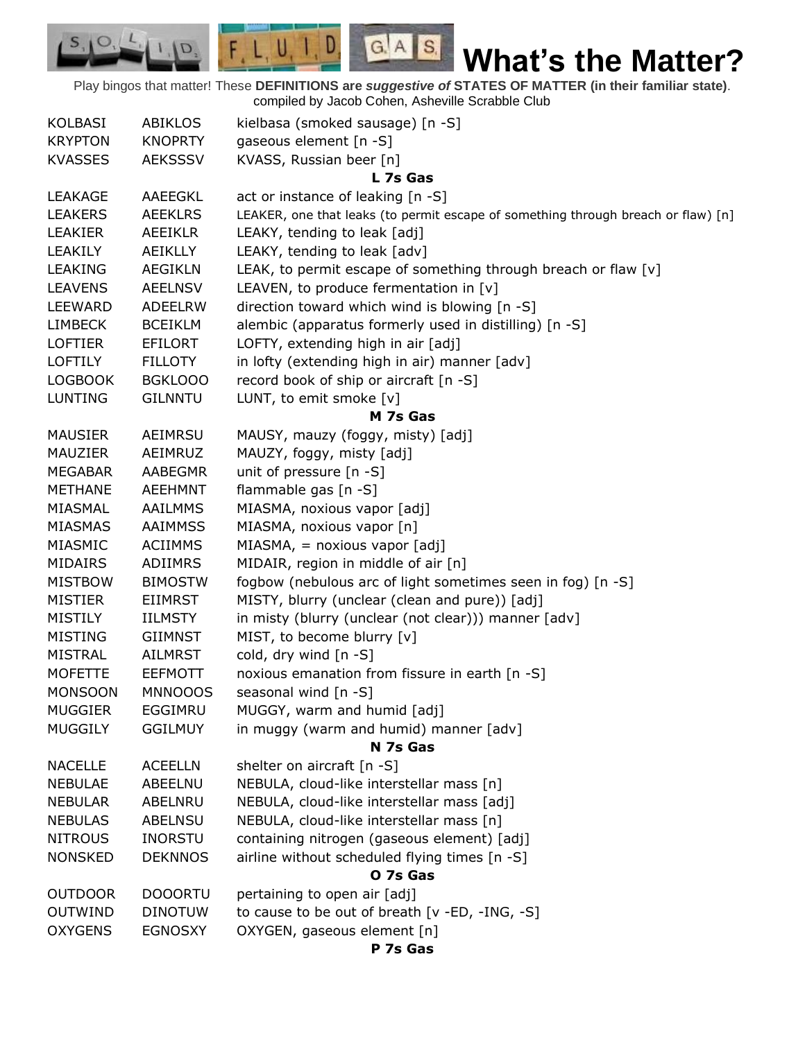Play bingos that matter! These **DEFINITIONS are** *suggestive of* **STATES OF MATTER (in their familiar state)**. compiled by Jacob Cohen, Asheville Scrabble Club

 $G.A.S.$ 

 $F, L, U, I, D$ 

D.

 $S_{1}$  $\circ$ 

| KOLBASI        | <b>ABIKLOS</b> | kielbasa (smoked sausage) [n -S]                                                  |
|----------------|----------------|-----------------------------------------------------------------------------------|
| <b>KRYPTON</b> | <b>KNOPRTY</b> | gaseous element [n -S]                                                            |
| <b>KVASSES</b> | <b>AEKSSSV</b> | KVASS, Russian beer [n]                                                           |
|                |                | L 7s Gas                                                                          |
| <b>LEAKAGE</b> | AAEEGKL        | act or instance of leaking [n -S]                                                 |
| <b>LEAKERS</b> | <b>AEEKLRS</b> | LEAKER, one that leaks (to permit escape of something through breach or flaw) [n] |
| LEAKIER        | <b>AEEIKLR</b> | LEAKY, tending to leak [adj]                                                      |
| LEAKILY        | AEIKLLY        | LEAKY, tending to leak [adv]                                                      |
| <b>LEAKING</b> | <b>AEGIKLN</b> | LEAK, to permit escape of something through breach or flaw [v]                    |
| <b>LEAVENS</b> | <b>AEELNSV</b> | LEAVEN, to produce fermentation in [v]                                            |
| LEEWARD        | <b>ADEELRW</b> | direction toward which wind is blowing [n -S]                                     |
| <b>LIMBECK</b> | <b>BCEIKLM</b> | alembic (apparatus formerly used in distilling) [n -S]                            |
| <b>LOFTIER</b> | <b>EFILORT</b> | LOFTY, extending high in air [adj]                                                |
| <b>LOFTILY</b> | <b>FILLOTY</b> | in lofty (extending high in air) manner [adv]                                     |
| <b>LOGBOOK</b> | <b>BGKLOOO</b> | record book of ship or aircraft [n -S]                                            |
| <b>LUNTING</b> | <b>GILNNTU</b> | LUNT, to emit smoke [v]                                                           |
|                |                | M 7s Gas                                                                          |
| <b>MAUSIER</b> | AEIMRSU        | MAUSY, mauzy (foggy, misty) [adj]                                                 |
| MAUZIER        | AEIMRUZ        | MAUZY, foggy, misty [adj]                                                         |
| <b>MEGABAR</b> | AABEGMR        | unit of pressure [n -S]                                                           |
| <b>METHANE</b> | <b>AEEHMNT</b> | flammable gas [n -S]                                                              |
| MIASMAL        | AAILMMS        | MIASMA, noxious vapor [adj]                                                       |
| <b>MIASMAS</b> | <b>AAIMMSS</b> | MIASMA, noxious vapor [n]                                                         |
| MIASMIC        | <b>ACIIMMS</b> | $MIASMA$ , = noxious vapor $[adj]$                                                |
| MIDAIRS        | ADIIMRS        | MIDAIR, region in middle of air [n]                                               |
| <b>MISTBOW</b> | <b>BIMOSTW</b> | fogbow (nebulous arc of light sometimes seen in fog) [n -S]                       |
| <b>MISTIER</b> | <b>EIIMRST</b> | MISTY, blurry (unclear (clean and pure)) [adj]                                    |
| <b>MISTILY</b> | IILMSTY        | in misty (blurry (unclear (not clear))) manner [adv]                              |
| <b>MISTING</b> | <b>GIIMNST</b> | MIST, to become blurry [v]                                                        |
| <b>MISTRAL</b> | <b>AILMRST</b> | cold, dry wind [n -S]                                                             |
| <b>MOFETTE</b> | <b>EEFMOTT</b> | noxious emanation from fissure in earth [n -S]                                    |
| <b>MONSOON</b> | <b>MNNOOOS</b> | seasonal wind [n -S]                                                              |
| <b>MUGGIER</b> | EGGIMRU        | MUGGY, warm and humid [adj]                                                       |
| <b>MUGGILY</b> | <b>GGILMUY</b> | in muggy (warm and humid) manner [adv]                                            |
|                |                | N 7s Gas                                                                          |
| <b>NACELLE</b> | <b>ACEELLN</b> | shelter on aircraft $[n -S]$                                                      |
| <b>NEBULAE</b> | ABEELNU        | NEBULA, cloud-like interstellar mass [n]                                          |
| <b>NEBULAR</b> | ABELNRU        | NEBULA, cloud-like interstellar mass [adj]                                        |
| <b>NEBULAS</b> | <b>ABELNSU</b> | NEBULA, cloud-like interstellar mass [n]                                          |
| <b>NITROUS</b> | <b>INORSTU</b> | containing nitrogen (gaseous element) [adj]                                       |
| <b>NONSKED</b> | <b>DEKNNOS</b> | airline without scheduled flying times [n -S]                                     |
|                |                | O 7s Gas                                                                          |
| <b>OUTDOOR</b> | <b>DOOORTU</b> | pertaining to open air [adj]                                                      |
| <b>OUTWIND</b> | <b>DINOTUW</b> | to cause to be out of breath [v -ED, -ING, -S]                                    |
| <b>OXYGENS</b> | <b>EGNOSXY</b> | OXYGEN, gaseous element [n]                                                       |
|                |                | P 7s Gas                                                                          |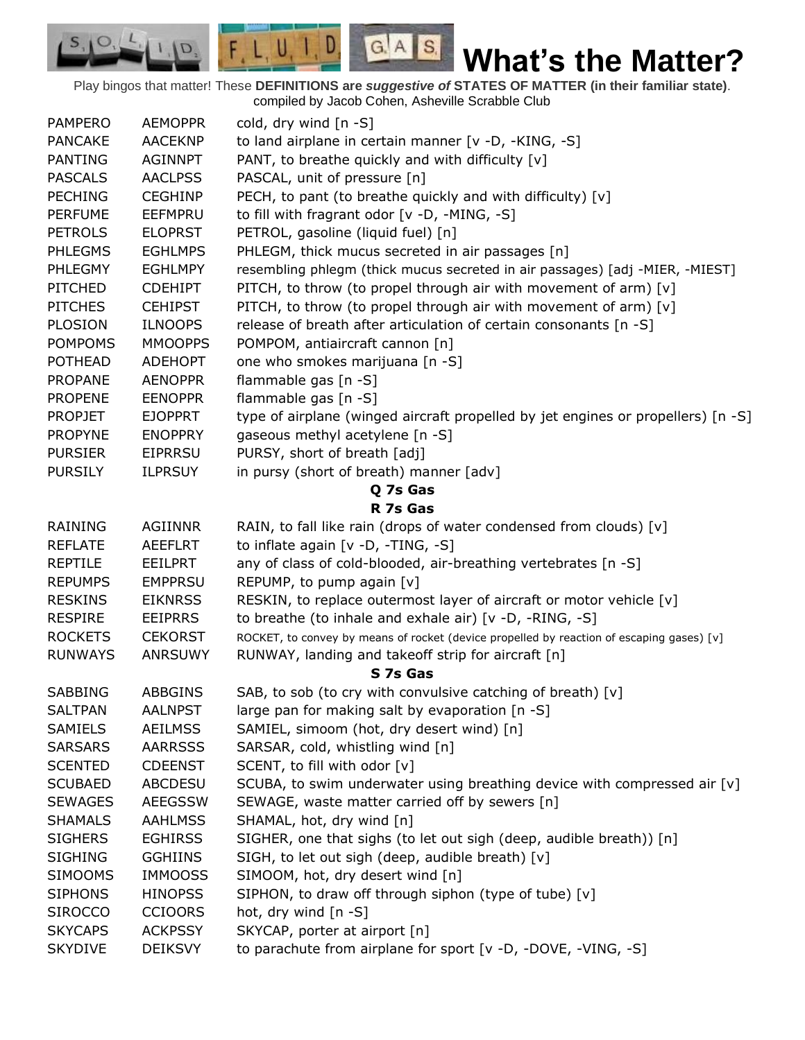Play bingos that matter! These **DEFINITIONS are** *suggestive of* **STATES OF MATTER (in their familiar state)**. compiled by Jacob Cohen, Asheville Scrabble Club

 $G.A.S.$ 

 $F, L, U, I, D$ 

D.

| <b>PAMPERO</b> | <b>AEMOPPR</b> | cold, dry wind $[n -S]$                                                                   |
|----------------|----------------|-------------------------------------------------------------------------------------------|
| <b>PANCAKE</b> | <b>AACEKNP</b> | to land airplane in certain manner [v -D, -KING, -S]                                      |
| <b>PANTING</b> | <b>AGINNPT</b> | PANT, to breathe quickly and with difficulty [v]                                          |
| <b>PASCALS</b> | <b>AACLPSS</b> | PASCAL, unit of pressure [n]                                                              |
| <b>PECHING</b> | <b>CEGHINP</b> | PECH, to pant (to breathe quickly and with difficulty) $[v]$                              |
| <b>PERFUME</b> | EEFMPRU        | to fill with fragrant odor [v -D, -MING, -S]                                              |
| <b>PETROLS</b> | <b>ELOPRST</b> | PETROL, gasoline (liquid fuel) [n]                                                        |
| <b>PHLEGMS</b> | <b>EGHLMPS</b> | PHLEGM, thick mucus secreted in air passages [n]                                          |
| <b>PHLEGMY</b> | <b>EGHLMPY</b> | resembling phlegm (thick mucus secreted in air passages) [adj -MIER, -MIEST]              |
| <b>PITCHED</b> | <b>CDEHIPT</b> | PITCH, to throw (to propel through air with movement of arm) [v]                          |
| <b>PITCHES</b> | <b>CEHIPST</b> | PITCH, to throw (to propel through air with movement of arm) [v]                          |
| <b>PLOSION</b> | <b>ILNOOPS</b> | release of breath after articulation of certain consonants [n -S]                         |
| <b>POMPOMS</b> | <b>MMOOPPS</b> | POMPOM, antiaircraft cannon [n]                                                           |
| <b>POTHEAD</b> | <b>ADEHOPT</b> | one who smokes marijuana [n -S]                                                           |
| <b>PROPANE</b> | <b>AENOPPR</b> | flammable gas [n -S]                                                                      |
| <b>PROPENE</b> | <b>EENOPPR</b> | flammable gas [n -S]                                                                      |
| <b>PROPJET</b> | <b>EJOPPRT</b> | type of airplane (winged aircraft propelled by jet engines or propellers) [n -S]          |
| <b>PROPYNE</b> | <b>ENOPPRY</b> | gaseous methyl acetylene [n -S]                                                           |
| <b>PURSIER</b> | <b>EIPRRSU</b> | PURSY, short of breath [adj]                                                              |
| <b>PURSILY</b> | <b>ILPRSUY</b> | in pursy (short of breath) manner [adv]                                                   |
|                |                | Q 7s Gas                                                                                  |
|                |                | R 7s Gas                                                                                  |
| <b>RAINING</b> | <b>AGIINNR</b> | RAIN, to fall like rain (drops of water condensed from clouds) [v]                        |
| <b>REFLATE</b> | AEEFLRT        | to inflate again [v -D, -TING, -S]                                                        |
| <b>REPTILE</b> | EEILPRT        | any of class of cold-blooded, air-breathing vertebrates [n -S]                            |
| <b>REPUMPS</b> | <b>EMPPRSU</b> | REPUMP, to pump again [v]                                                                 |
| <b>RESKINS</b> | <b>EIKNRSS</b> | RESKIN, to replace outermost layer of aircraft or motor vehicle [v]                       |
| <b>RESPIRE</b> | <b>EEIPRRS</b> | to breathe (to inhale and exhale air) [v -D, -RING, -S]                                   |
| <b>ROCKETS</b> | <b>CEKORST</b> | ROCKET, to convey by means of rocket (device propelled by reaction of escaping gases) [v] |
| <b>RUNWAYS</b> | ANRSUWY        | RUNWAY, landing and takeoff strip for aircraft [n]                                        |
|                |                | S 7s Gas                                                                                  |
| <b>SABBING</b> | <b>ABBGINS</b> | SAB, to sob (to cry with convulsive catching of breath) [v]                               |
| <b>SALTPAN</b> | <b>AALNPST</b> | large pan for making salt by evaporation [n -S]                                           |
| <b>SAMIELS</b> | <b>AEILMSS</b> | SAMIEL, simoom (hot, dry desert wind) [n]                                                 |
| <b>SARSARS</b> | <b>AARRSSS</b> | SARSAR, cold, whistling wind [n]                                                          |
| <b>SCENTED</b> | <b>CDEENST</b> | SCENT, to fill with odor [v]                                                              |
| <b>SCUBAED</b> | <b>ABCDESU</b> | SCUBA, to swim underwater using breathing device with compressed air [v]                  |
| <b>SEWAGES</b> | <b>AEEGSSW</b> | SEWAGE, waste matter carried off by sewers [n]                                            |
| <b>SHAMALS</b> | <b>AAHLMSS</b> | SHAMAL, hot, dry wind [n]                                                                 |
| <b>SIGHERS</b> | <b>EGHIRSS</b> | SIGHER, one that sighs (to let out sigh (deep, audible breath)) [n]                       |
| <b>SIGHING</b> | <b>GGHIINS</b> | SIGH, to let out sigh (deep, audible breath) [v]                                          |
| <b>SIMOOMS</b> | <b>IMMOOSS</b> | SIMOOM, hot, dry desert wind [n]                                                          |
| <b>SIPHONS</b> | <b>HINOPSS</b> | SIPHON, to draw off through siphon (type of tube) [v]                                     |
| <b>SIROCCO</b> | <b>CCIOORS</b> | hot, dry wind $[n - S]$                                                                   |
| <b>SKYCAPS</b> | <b>ACKPSSY</b> | SKYCAP, porter at airport [n]                                                             |
| <b>SKYDIVE</b> | <b>DEIKSVY</b> | to parachute from airplane for sport [v -D, -DOVE, -VING, -S]                             |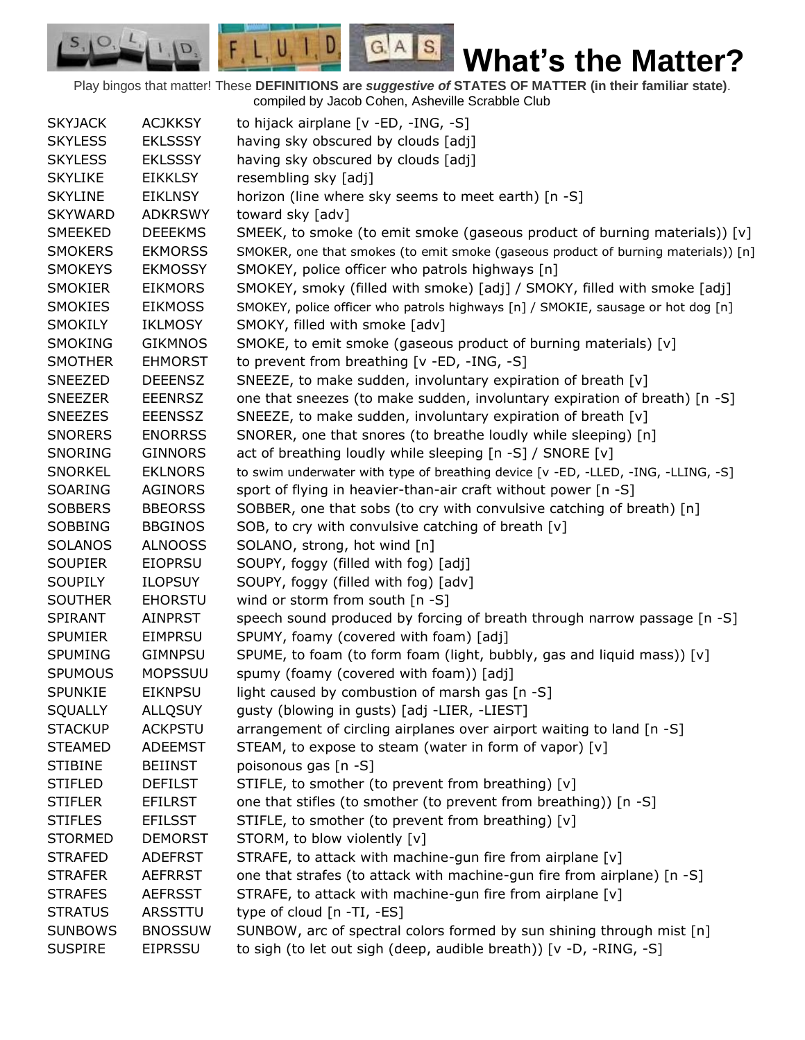Play bingos that matter! These **DEFINITIONS are** *suggestive of* **STATES OF MATTER (in their familiar state)**. compiled by Jacob Cohen, Asheville Scrabble Club

 $G.A.S.$ 

 $F, L, U, I, D$ 

D.

| <b>SKYJACK</b> | <b>ACJKKSY</b> | to hijack airplane [v -ED, -ING, -S]                                               |
|----------------|----------------|------------------------------------------------------------------------------------|
| <b>SKYLESS</b> | <b>EKLSSSY</b> | having sky obscured by clouds [adj]                                                |
| <b>SKYLESS</b> | <b>EKLSSSY</b> | having sky obscured by clouds [adj]                                                |
| <b>SKYLIKE</b> | <b>EIKKLSY</b> | resembling sky [adj]                                                               |
| <b>SKYLINE</b> | <b>EIKLNSY</b> | horizon (line where sky seems to meet earth) [n -S]                                |
| <b>SKYWARD</b> | <b>ADKRSWY</b> | toward sky [adv]                                                                   |
| <b>SMEEKED</b> | <b>DEEEKMS</b> | SMEEK, to smoke (to emit smoke (gaseous product of burning materials)) $[v]$       |
| <b>SMOKERS</b> | <b>EKMORSS</b> | SMOKER, one that smokes (to emit smoke (gaseous product of burning materials)) [n] |
| <b>SMOKEYS</b> | <b>EKMOSSY</b> | SMOKEY, police officer who patrols highways [n]                                    |
| <b>SMOKIER</b> | <b>EIKMORS</b> | SMOKEY, smoky (filled with smoke) [adj] / SMOKY, filled with smoke [adj]           |
| <b>SMOKIES</b> | <b>EIKMOSS</b> | SMOKEY, police officer who patrols highways [n] / SMOKIE, sausage or hot dog [n]   |
| <b>SMOKILY</b> | <b>IKLMOSY</b> | SMOKY, filled with smoke [adv]                                                     |
| <b>SMOKING</b> | <b>GIKMNOS</b> | SMOKE, to emit smoke (gaseous product of burning materials) [v]                    |
| <b>SMOTHER</b> | <b>EHMORST</b> | to prevent from breathing [v -ED, -ING, -S]                                        |
| SNEEZED        | <b>DEEENSZ</b> | SNEEZE, to make sudden, involuntary expiration of breath [v]                       |
| <b>SNEEZER</b> | <b>EEENRSZ</b> | one that sneezes (to make sudden, involuntary expiration of breath) [n -S]         |
| <b>SNEEZES</b> | <b>EEENSSZ</b> | SNEEZE, to make sudden, involuntary expiration of breath [v]                       |
| <b>SNORERS</b> | <b>ENORRSS</b> | SNORER, one that snores (to breathe loudly while sleeping) [n]                     |
| <b>SNORING</b> | <b>GINNORS</b> | act of breathing loudly while sleeping [n -S] / SNORE [v]                          |
| <b>SNORKEL</b> | <b>EKLNORS</b> | to swim underwater with type of breathing device [v -ED, -LLED, -ING, -LLING, -S]  |
| SOARING        | <b>AGINORS</b> | sport of flying in heavier-than-air craft without power [n -S]                     |
| <b>SOBBERS</b> | <b>BBEORSS</b> | SOBBER, one that sobs (to cry with convulsive catching of breath) [n]              |
| <b>SOBBING</b> | <b>BBGINOS</b> | SOB, to cry with convulsive catching of breath [v]                                 |
| <b>SOLANOS</b> | <b>ALNOOSS</b> | SOLANO, strong, hot wind [n]                                                       |
| <b>SOUPIER</b> | <b>EIOPRSU</b> | SOUPY, foggy (filled with fog) [adj]                                               |
| <b>SOUPILY</b> | <b>ILOPSUY</b> | SOUPY, foggy (filled with fog) [adv]                                               |
| <b>SOUTHER</b> | <b>EHORSTU</b> | wind or storm from south [n -S]                                                    |
| <b>SPIRANT</b> | <b>AINPRST</b> | speech sound produced by forcing of breath through narrow passage [n -S]           |
| <b>SPUMIER</b> | <b>EIMPRSU</b> | SPUMY, foamy (covered with foam) [adj]                                             |
| <b>SPUMING</b> | <b>GIMNPSU</b> | SPUME, to foam (to form foam (light, bubbly, gas and liquid mass)) [v]             |
| <b>SPUMOUS</b> | <b>MOPSSUU</b> | spumy (foamy (covered with foam)) [adj]                                            |
| <b>SPUNKIE</b> | <b>EIKNPSU</b> | light caused by combustion of marsh gas [n -S]                                     |
| <b>SQUALLY</b> | <b>ALLQSUY</b> | gusty (blowing in gusts) [adj -LIER, -LIEST]                                       |
| <b>STACKUP</b> | <b>ACKPSTU</b> | arrangement of circling airplanes over airport waiting to land [n -S]              |
| <b>STEAMED</b> | <b>ADEEMST</b> | STEAM, to expose to steam (water in form of vapor) [v]                             |
| <b>STIBINE</b> | <b>BEIINST</b> | poisonous gas [n -S]                                                               |
| <b>STIFLED</b> | <b>DEFILST</b> | STIFLE, to smother (to prevent from breathing) [v]                                 |
| <b>STIFLER</b> | <b>EFILRST</b> | one that stifles (to smother (to prevent from breathing)) [n -S]                   |
| <b>STIFLES</b> | <b>EFILSST</b> | STIFLE, to smother (to prevent from breathing) [v]                                 |
| <b>STORMED</b> | <b>DEMORST</b> | STORM, to blow violently [v]                                                       |
| <b>STRAFED</b> | <b>ADEFRST</b> | STRAFE, to attack with machine-gun fire from airplane [v]                          |
| <b>STRAFER</b> | <b>AEFRRST</b> | one that strafes (to attack with machine-gun fire from airplane) [n -S]            |
| <b>STRAFES</b> | <b>AEFRSST</b> | STRAFE, to attack with machine-gun fire from airplane [v]                          |
| <b>STRATUS</b> | ARSSTTU        | type of cloud [n -TI, -ES]                                                         |
| <b>SUNBOWS</b> | <b>BNOSSUW</b> | SUNBOW, arc of spectral colors formed by sun shining through mist [n]              |
| <b>SUSPIRE</b> | <b>EIPRSSU</b> | to sigh (to let out sigh (deep, audible breath)) [v -D, -RING, -S]                 |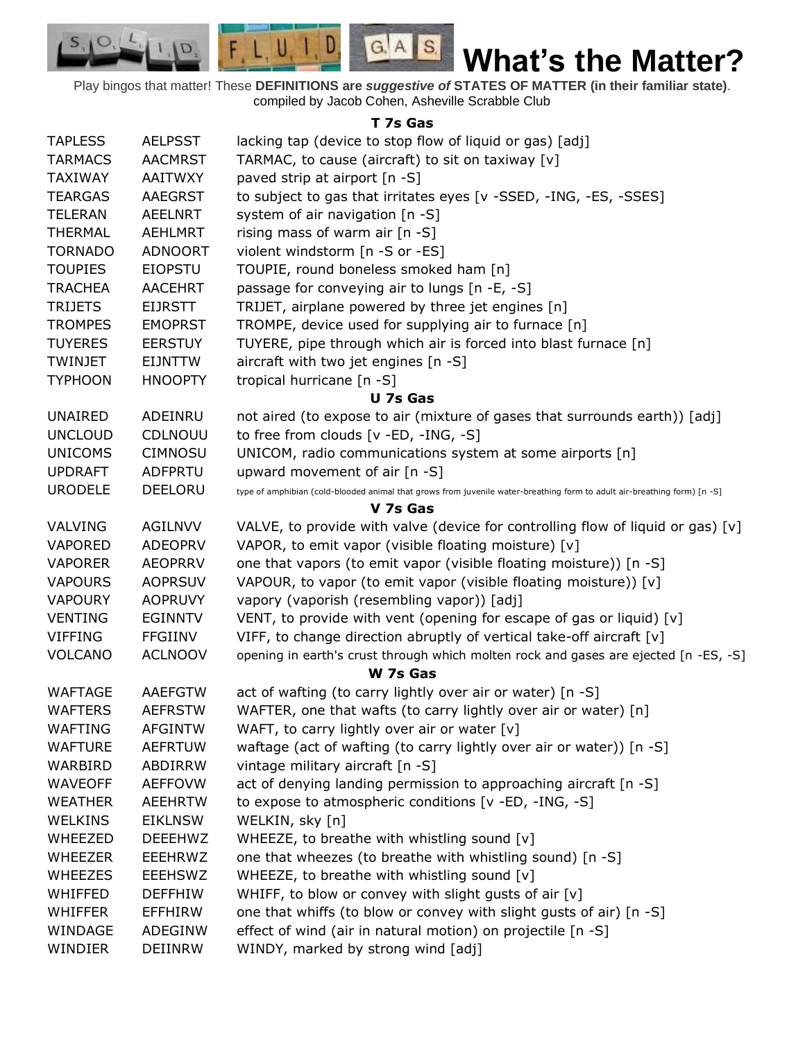$G.A.S.$ **What's the Matter?**

Play bingos that matter! These **DEFINITIONS are** *suggestive of* **STATES OF MATTER (in their familiar state)**. compiled by Jacob Cohen, Asheville Scrabble Club

 $F, L, U, I, D$ 

D.

 $S_{1}$  $\circ$ 

## **T 7s Gas**

| <b>TAPLESS</b> | <b>AELPSST</b> | lacking tap (device to stop flow of liquid or gas) [adj]                                                                 |
|----------------|----------------|--------------------------------------------------------------------------------------------------------------------------|
| <b>TARMACS</b> | <b>AACMRST</b> | TARMAC, to cause (aircraft) to sit on taxiway [v]                                                                        |
| <b>TAXIWAY</b> | AAITWXY        | paved strip at airport [n -S]                                                                                            |
| <b>TEARGAS</b> | <b>AAEGRST</b> | to subject to gas that irritates eyes [v -SSED, -ING, -ES, -SSES]                                                        |
| <b>TELERAN</b> | <b>AEELNRT</b> | system of air navigation [n -S]                                                                                          |
| <b>THERMAL</b> | <b>AEHLMRT</b> | rising mass of warm air [n -S]                                                                                           |
| <b>TORNADO</b> | <b>ADNOORT</b> | violent windstorm [n -S or -ES]                                                                                          |
| <b>TOUPIES</b> | <b>EIOPSTU</b> | TOUPIE, round boneless smoked ham [n]                                                                                    |
| <b>TRACHEA</b> | <b>AACEHRT</b> | passage for conveying air to lungs [n -E, -S]                                                                            |
| <b>TRIJETS</b> | <b>EIJRSTT</b> | TRIJET, airplane powered by three jet engines [n]                                                                        |
| <b>TROMPES</b> | <b>EMOPRST</b> | TROMPE, device used for supplying air to furnace [n]                                                                     |
| <b>TUYERES</b> | <b>EERSTUY</b> | TUYERE, pipe through which air is forced into blast furnace [n]                                                          |
| TWINJET        | EIJNTTW        | aircraft with two jet engines [n -S]                                                                                     |
| <b>TYPHOON</b> | <b>HNOOPTY</b> | tropical hurricane [n -S]                                                                                                |
|                |                | U 7s Gas                                                                                                                 |
| <b>UNAIRED</b> | ADEINRU        | not aired (to expose to air (mixture of gases that surrounds earth)) [adj]                                               |
| <b>UNCLOUD</b> | CDLNOUU        | to free from clouds [v -ED, -ING, -S]                                                                                    |
| <b>UNICOMS</b> | <b>CIMNOSU</b> | UNICOM, radio communications system at some airports [n]                                                                 |
| <b>UPDRAFT</b> | <b>ADFPRTU</b> | upward movement of air $[n - S]$                                                                                         |
| <b>URODELE</b> | DEELORU        | type of amphibian (cold-blooded animal that grows from juvenile water-breathing form to adult air-breathing form) [n -S] |
|                |                | V 7s Gas                                                                                                                 |
| <b>VALVING</b> | <b>AGILNVV</b> | VALVE, to provide with valve (device for controlling flow of liquid or gas) $[v]$                                        |
| <b>VAPORED</b> | <b>ADEOPRV</b> | VAPOR, to emit vapor (visible floating moisture) [v]                                                                     |
| <b>VAPORER</b> | <b>AEOPRRV</b> | one that vapors (to emit vapor (visible floating moisture)) [n -S]                                                       |
| <b>VAPOURS</b> | <b>AOPRSUV</b> | VAPOUR, to vapor (to emit vapor (visible floating moisture)) [v]                                                         |
| <b>VAPOURY</b> | <b>AOPRUVY</b> | vapory (vaporish (resembling vapor)) [adj]                                                                               |
| <b>VENTING</b> | <b>EGINNTV</b> | VENT, to provide with vent (opening for escape of gas or liquid) [v]                                                     |
| <b>VIFFING</b> | <b>FFGIINV</b> | VIFF, to change direction abruptly of vertical take-off aircraft [v]                                                     |
| <b>VOLCANO</b> | <b>ACLNOOV</b> | opening in earth's crust through which molten rock and gases are ejected [n -ES, -S]                                     |
|                |                | W 7s Gas                                                                                                                 |
| <b>WAFTAGE</b> | <b>AAEFGTW</b> | act of wafting (to carry lightly over air or water) [n -S]                                                               |
| <b>WAFTERS</b> | <b>AEFRSTW</b> | WAFTER, one that wafts (to carry lightly over air or water) [n]                                                          |
| WAFTING        | <b>AFGINTW</b> | WAFT, to carry lightly over air or water [v]                                                                             |
| <b>WAFTURE</b> | <b>AEFRTUW</b> | waftage (act of wafting (to carry lightly over air or water)) [n -S]                                                     |
| WARBIRD        | ABDIRRW        | vintage military aircraft [n -S]                                                                                         |
| <b>WAVEOFF</b> | <b>AEFFOVW</b> | act of denying landing permission to approaching aircraft [n -S]                                                         |
| <b>WEATHER</b> | <b>AEEHRTW</b> | to expose to atmospheric conditions [v -ED, -ING, -S]                                                                    |
| <b>WELKINS</b> | <b>EIKLNSW</b> | WELKIN, sky [n]                                                                                                          |
| WHEEZED        | <b>DEEEHWZ</b> | WHEEZE, to breathe with whistling sound [v]                                                                              |
| <b>WHEEZER</b> | <b>EEEHRWZ</b> | one that wheezes (to breathe with whistling sound) [n -S]                                                                |
| <b>WHEEZES</b> | <b>EEEHSWZ</b> | WHEEZE, to breathe with whistling sound [v]                                                                              |
| WHIFFED        | <b>DEFFHIW</b> | WHIFF, to blow or convey with slight gusts of air [v]                                                                    |
| <b>WHIFFER</b> | <b>EFFHIRW</b> | one that whiffs (to blow or convey with slight gusts of air) [n -S]                                                      |
| WINDAGE        | ADEGINW        | effect of wind (air in natural motion) on projectile [n -S]                                                              |
| WINDIER        | DEIINRW        | WINDY, marked by strong wind [adj]                                                                                       |